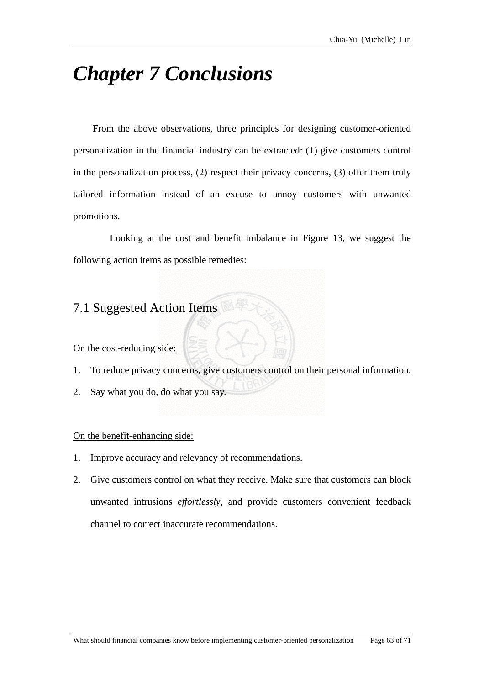# *Chapter 7 Conclusions*

From the above observations, three principles for designing customer-oriented personalization in the financial industry can be extracted: (1) give customers control in the personalization process, (2) respect their privacy concerns, (3) offer them truly tailored information instead of an excuse to annoy customers with unwanted promotions.

Looking at the cost and benefit imbalance in Figure 13, we suggest the following action items as possible remedies:

# 7.1 Suggested Action Items

On the cost-reducing side:

- 1. To reduce privacy concerns, give customers control on their personal information.
- 2. Say what you do, do what you say.

#### On the benefit-enhancing side:

- 1. Improve accuracy and relevancy of recommendations.
- 2. Give customers control on what they receive. Make sure that customers can block unwanted intrusions *effortlessly*, and provide customers convenient feedback channel to correct inaccurate recommendations.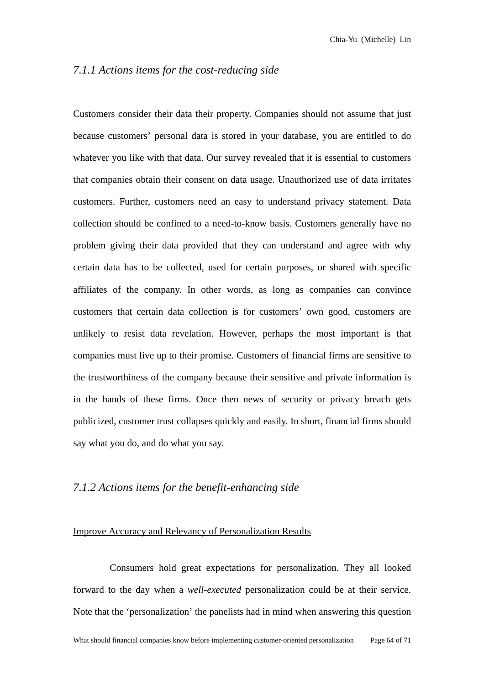## *7.1.1 Actions items for the cost-reducing side*

Customers consider their data their property. Companies should not assume that just because customers' personal data is stored in your database, you are entitled to do whatever you like with that data. Our survey revealed that it is essential to customers that companies obtain their consent on data usage. Unauthorized use of data irritates customers. Further, customers need an easy to understand privacy statement. Data collection should be confined to a need-to-know basis. Customers generally have no problem giving their data provided that they can understand and agree with why certain data has to be collected, used for certain purposes, or shared with specific affiliates of the company. In other words, as long as companies can convince customers that certain data collection is for customers' own good, customers are unlikely to resist data revelation. However, perhaps the most important is that companies must live up to their promise. Customers of financial firms are sensitive to the trustworthiness of the company because their sensitive and private information is in the hands of these firms. Once then news of security or privacy breach gets publicized, customer trust collapses quickly and easily. In short, financial firms should say what you do, and do what you say.

## *7.1.2 Actions items for the benefit-enhancing side*

### Improve Accuracy and Relevancy of Personalization Results

Consumers hold great expectations for personalization. They all looked forward to the day when a *well-executed* personalization could be at their service. Note that the 'personalization' the panelists had in mind when answering this question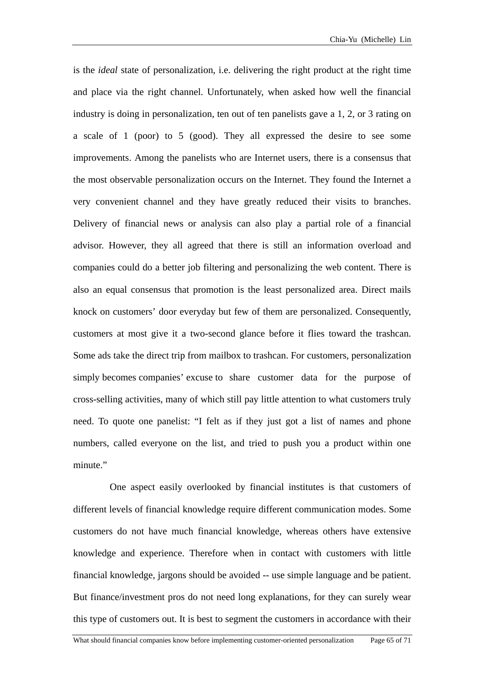is the *ideal* state of personalization, i.e. delivering the right product at the right time and place via the right channel. Unfortunately, when asked how well the financial numbers, called everyone on the list, and tried to push you a product within one minute." industry is doing in personalization, ten out of ten panelists gave a 1, 2, or 3 rating on a scale of 1 (poor) to 5 (good). They all expressed the desire to see some improvements. Among the panelists who are Internet users, there is a consensus that the most observable personalization occurs on the Internet. They found the Internet a very convenient channel and they have greatly reduced their visits to branches. Delivery of financial news or analysis can also play a partial role of a financial advisor. However, they all agreed that there is still an information overload and companies could do a better job filtering and personalizing the web content. There is also an equal consensus that promotion is the least personalized area. Direct mails knock on customers' door everyday but few of them are personalized. Consequently, customers at most give it a two-second glance before it flies toward the trashcan. Some ads take the direct trip from mailbox to trashcan. For customers, personalization simply becomes companies' excuse to share customer data for the purpose of cross-selling activities, many of which still pay little attention to what customers truly need. To quote one panelist: "I felt as if they just got a list of names and phone

One aspect easily overlooked by financial institutes is that customers of different levels of financial knowledge require different communication modes. Some customers do not have much financial knowledge, whereas others have extensive knowledge and experience. Therefore when in contact with customers with little financial knowledge, jargons should be avoided -- use simple language and be patient. But finance/investment pros do not need long explanations, for they can surely wear this type of customers out. It is best to segment the customers in accordance with their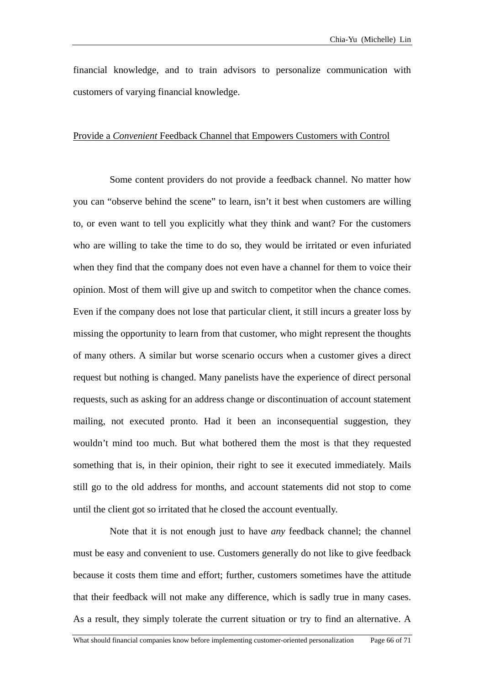financial knowledge, and to train advisors to personalize communication with customers of varying financial knowledge.

#### Provide a *Convenient* Feedback Channel that Empowers Customers with Control

Some content providers do not provide a feedback channel. No matter how you can "observe behind the scene" to learn, isn't it best when customers are willing to, or even want to tell you explicitly what they think and want? For the customers who are willing to take the time to do so, they would be irritated or even infuriated when they find that the company does not even have a channel for them to voice their opinion. Most of them will give up and switch to competitor when the chance comes. Even if the company does not lose that particular client, it still incurs a greater loss by missing the opportunity to learn from that customer, who might represent the thoughts of many others. A similar but worse scenario occurs when a customer gives a direct request but nothing is changed. Many panelists have the experience of direct personal requests, such as asking for an address change or discontinuation of account statement mailing, not executed pronto. Had it been an inconsequential suggestion, they wouldn't mind too much. But what bothered them the most is that they requested something that is, in their opinion, their right to see it executed immediately. Mails still go to the old address for months, and account statements did not stop to come until the client got so irritated that he closed the account eventually.

Note that it is not enough just to have *any* feedback channel; the channel must be easy and convenient to use. Customers generally do not like to give feedback because it costs them time and effort; further, customers sometimes have the attitude that their feedback will not make any difference, which is sadly true in many cases. As a result, they simply tolerate the current situation or try to find an alternative. A